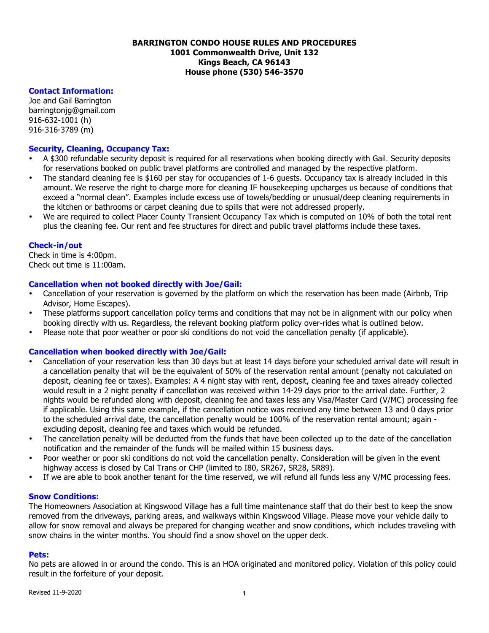### **BARRINGTON CONDO HOUSE RULES AND PROCEDURES 1001 Commonwealth Drive, Unit 132 Kings Beach, CA 96143 House phone (530) 546-3570**

# **Contact Information:**

Joe and Gail Barrington barringtonjg@gmail.com 916-632-1001 (h) 916-316-3789 (m)

# **Security, Cleaning, Occupancy Tax:**

- A \$300 refundable security deposit is required for all reservations when booking directly with Gail. Security deposits for reservations booked on public travel platforms are controlled and managed by the respective platform.
- The standard cleaning fee is \$160 per stay for occupancies of 1-6 guests. Occupancy tax is already included in this amount. We reserve the right to charge more for cleaning IF housekeeping upcharges us because of conditions that exceed a "normal clean". Examples include excess use of towels/bedding or unusual/deep cleaning requirements in the kitchen or bathrooms or carpet cleaning due to spills that were not addressed properly.
- We are required to collect Placer County Transient Occupancy Tax which is computed on 10% of both the total rent plus the cleaning fee. Our rent and fee structures for direct and public travel platforms include these taxes.

#### **Check-in/out**

Check in time is 4:00pm. Check out time is 11:00am.

#### **Cancellation when not booked directly with Joe/Gail:**

- Cancellation of your reservation is governed by the platform on which the reservation has been made (Airbnb, Trip Advisor, Home Escapes).
- These platforms support cancellation policy terms and conditions that may not be in alignment with our policy when booking directly with us. Regardless, the relevant booking platform policy over-rides what is outlined below.
- Please note that poor weather or poor ski conditions do not void the cancellation penalty (if applicable).

# **Cancellation when booked directly with Joe/Gail:**

- Cancellation of your reservation less than 30 days but at least 14 days before your scheduled arrival date will result in a cancellation penalty that will be the equivalent of 50% of the reservation rental amount (penalty not calculated on deposit, cleaning fee or taxes). Examples: A 4 night stay with rent, deposit, cleaning fee and taxes already collected would result in a 2 night penalty if cancellation was received within 14-29 days prior to the arrival date. Further, 2 nights would be refunded along with deposit, cleaning fee and taxes less any Visa/Master Card (V/MC) processing fee if applicable. Using this same example, if the cancellation notice was received any time between 13 and 0 days prior to the scheduled arrival date, the cancellation penalty would be 100% of the reservation rental amount; again excluding deposit, cleaning fee and taxes which would be refunded.
- The cancellation penalty will be deducted from the funds that have been collected up to the date of the cancellation notification and the remainder of the funds will be mailed within 15 business days.
- Poor weather or poor ski conditions do not void the cancellation penalty. Consideration will be given in the event highway access is closed by Cal Trans or CHP (limited to I80, SR267, SR28, SR89).
- If we are able to book another tenant for the time reserved, we will refund all funds less any V/MC processing fees.

#### **Snow Conditions:**

The Homeowners Association at Kingswood Village has a full time maintenance staff that do their best to keep the snow removed from the driveways, parking areas, and walkways within Kingswood Village. Please move your vehicle daily to allow for snow removal and always be prepared for changing weather and snow conditions, which includes traveling with snow chains in the winter months. You should find a snow shovel on the upper deck.

#### **Pets:**

No pets are allowed in or around the condo. This is an HOA originated and monitored policy. Violation of this policy could result in the forfeiture of your deposit.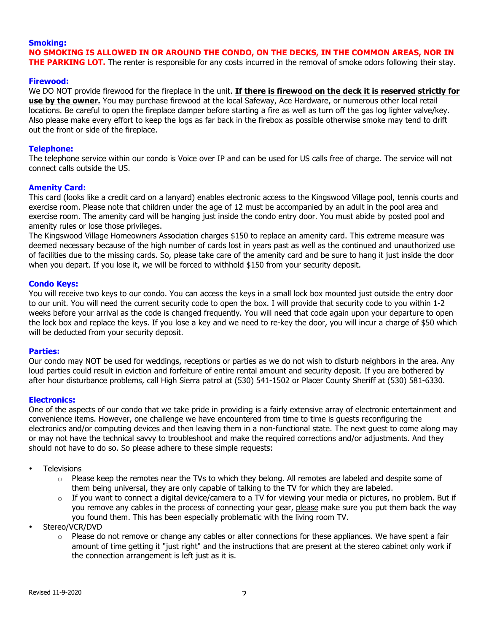# **Smoking: NO SMOKING IS ALLOWED IN OR AROUND THE CONDO, ON THE DECKS, IN THE COMMON AREAS, NOR IN THE PARKING LOT.** The renter is responsible for any costs incurred in the removal of smoke odors following their stay.

#### **Firewood:**

We DO NOT provide firewood for the fireplace in the unit. **If there is firewood on the deck it is reserved strictly for use by the owner.** You may purchase firewood at the local Safeway, Ace Hardware, or numerous other local retail locations. Be careful to open the fireplace damper before starting a fire as well as turn off the gas log lighter valve/key. Also please make every effort to keep the logs as far back in the firebox as possible otherwise smoke may tend to drift out the front or side of the fireplace.

#### **Telephone:**

The telephone service within our condo is Voice over IP and can be used for US calls free of charge. The service will not connect calls outside the US.

#### **Amenity Card:**

This card (looks like a credit card on a lanyard) enables electronic access to the Kingswood Village pool, tennis courts and exercise room. Please note that children under the age of 12 must be accompanied by an adult in the pool area and exercise room. The amenity card will be hanging just inside the condo entry door. You must abide by posted pool and amenity rules or lose those privileges.

The Kingswood Village Homeowners Association charges \$150 to replace an amenity card. This extreme measure was deemed necessary because of the high number of cards lost in years past as well as the continued and unauthorized use of facilities due to the missing cards. So, please take care of the amenity card and be sure to hang it just inside the door when you depart. If you lose it, we will be forced to withhold \$150 from your security deposit.

#### **Condo Keys:**

You will receive two keys to our condo. You can access the keys in a small lock box mounted just outside the entry door to our unit. You will need the current security code to open the box. I will provide that security code to you within 1-2 weeks before your arrival as the code is changed frequently. You will need that code again upon your departure to open the lock box and replace the keys. If you lose a key and we need to re-key the door, you will incur a charge of \$50 which will be deducted from your security deposit.

#### **Parties:**

Our condo may NOT be used for weddings, receptions or parties as we do not wish to disturb neighbors in the area. Any loud parties could result in eviction and forfeiture of entire rental amount and security deposit. If you are bothered by after hour disturbance problems, call High Sierra patrol at (530) 541-1502 or Placer County Sheriff at (530) 581-6330.

#### **Electronics:**

One of the aspects of our condo that we take pride in providing is a fairly extensive array of electronic entertainment and convenience items. However, one challenge we have encountered from time to time is guests reconfiguring the electronics and/or computing devices and then leaving them in a non-functional state. The next guest to come along may or may not have the technical savvy to troubleshoot and make the required corrections and/or adjustments. And they should not have to do so. So please adhere to these simple requests:

- Televisions
	- $\circ$  Please keep the remotes near the TVs to which they belong. All remotes are labeled and despite some of them being universal, they are only capable of talking to the TV for which they are labeled.
	- If you want to connect a digital device/camera to a TV for viewing your media or pictures, no problem. But if you remove any cables in the process of connecting your gear, please make sure you put them back the way you found them. This has been especially problematic with the living room TV.
- Stereo/VCR/DVD
	- $\circ$  Please do not remove or change any cables or alter connections for these appliances. We have spent a fair amount of time getting it "just right" and the instructions that are present at the stereo cabinet only work if the connection arrangement is left just as it is.